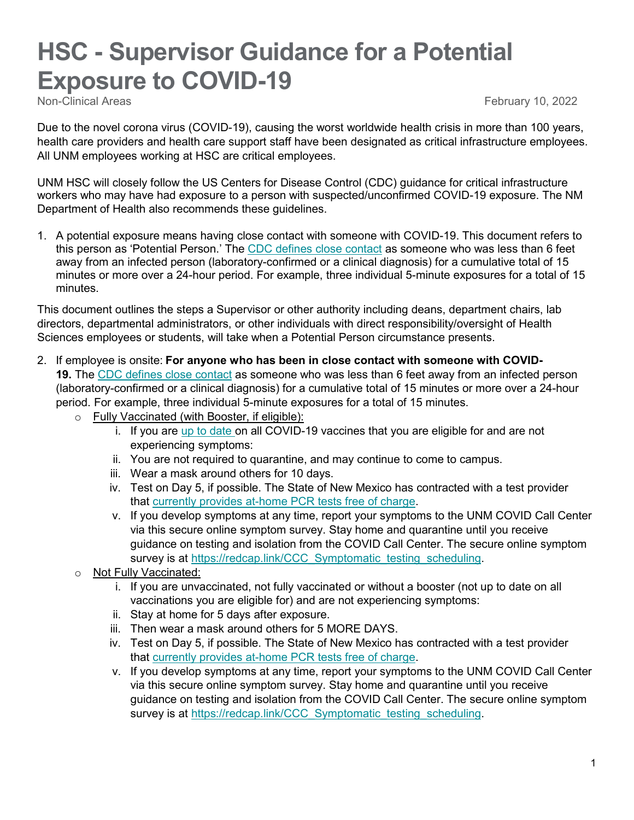## **HSC - Supervisor Guidance for a Potential Exposure to COVID-19**<br>Non-Clinical Areas

February 10, 2022

Due to the novel corona virus (COVID-19), causing the worst worldwide health crisis in more than 100 years, health care providers and health care support staff have been designated as critical infrastructure employees. All UNM employees working at HSC are critical employees.

UNM HSC will closely follow the US Centers for Disease Control (CDC) guidance for critical infrastructure workers who may have had exposure to a person with suspected/unconfirmed COVID-19 exposure. The NM Department of Health also recommends these guidelines.

1. A potential exposure means having close contact with someone with COVID-19. This document refers to this person as 'Potential Person.' The [CDC defines close contact](https://www.cdc.gov/coronavirus/2019-ncov/your-health/quarantine-isolation.html) as someone who was less than 6 feet away from an infected person (laboratory-confirmed or a clinical diagnosis) for a cumulative total of 15 minutes or more over a 24-hour period. For example, three individual 5-minute exposures for a total of 15 minutes.

This document outlines the steps a Supervisor or other authority including deans, department chairs, lab directors, departmental administrators, or other individuals with direct responsibility/oversight of Health Sciences employees or students, will take when a Potential Person circumstance presents.

- 2. If employee is onsite: **For anyone who has been in close contact with someone with COVID-19.** The [CDC defines close contact](https://www.cdc.gov/coronavirus/2019-ncov/your-health/quarantine-isolation.html) as someone who was less than 6 feet away from an infected person (laboratory-confirmed or a clinical diagnosis) for a cumulative total of 15 minutes or more over a 24-hour period. For example, three individual 5-minute exposures for a total of 15 minutes.
	- o Fully Vaccinated (with Booster, if eligible):
		- i. If you are [up to date](https://na01.safelinks.protection.outlook.com/?url=https%3A%2F%2Fr20.rs6.net%2Ftn.jsp%3Ff%3D001zEW_QD1qUbeoFwCJfQhBsWn3VTl02GHVa4NoZe2CFg3iRwyqDb3NrVx7t8xWVhKFirmfvgIxrS7TelHUHuP5_mO-orANDvIjUMV3MfmRdsYC2NJgNDqFOVTU_WM10BWxGWwE2lai-j-xZiSN_qIrCqIBOKY9HEzWPGbMhrOXQmnKuUwC8SghCqjsoLNP_CpJd2SpMrvgVlhtseNcdPzmGFqmhDW3UEm7vQPf5DBR2FnsXO-TSaEJU_XlDXlWfBXQ0divWXhXw-2Lh15bML-AZz82Igfqwqvijt1XyQxqrN00qKrSOaOPJR-AhySR2pad83Ob6xt6Ff4mp0eG26GEO8y7MMFJdFyYVb2Q1wIPG6TQtI-d4sA4A-NDYYXBAZnvnreTSG45iUb--tmMdbxrk6HYBEWO_C_EdTrfWDvUBwx2Lb3Nb_GBVCygikhYzKBpAZ5czKVwF03PS65tUZjH5URZYl0Nb9qrP-eAengNac_Ak1YzAXqBssLzmvIoZZyXLvMlhsoNUdmu_iOFVAO2zwe7TAoRRkv55iHnT4Pwc_OLzWQ0T0oFvQVOH-PpAXadnu2E_DE4pc4bicVZQ-O7GUZ3Yg8shxHn9ceC79N8qxJRPUrJ3aaRi12XVTMU8BmEqLezkT3xV5DJouJij2nm4WzvbTZsDBubVpfc8bmAVtVdVDLl14oIBYKauq7BP3zIdF2-zQrKkP2qR2e0Zj4Y_BDyYbOtLpMzJVq-xzFMymZ0gxwGh_K38j8C3kN5AGT14lctQYyzz-hU4o3equj0xw%3D%3D%26c%3DUbq0MVDP8qvVai2pNrt5WTK3uFxO59mVbYHNNmpej7Dq9f_ObaP1zg%3D%3D%26ch%3D9obAI_VgKFGxv7xo6EmI7xYbEjjagoUsopLhQZqC9Yh358Ugd7rHug%3D%3D&data=04%7C01%7C%7C14b75a9644ed4c8b4a8308d9d1ea42d0%7C84df9e7fe9f640afb435aaaaaaaaaaaa%7C1%7C0%7C637771626363328348%7CUnknown%7CTWFpbGZsb3d8eyJWIjoiMC4wLjAwMDAiLCJQIjoiV2luMzIiLCJBTiI6Ik1haWwiLCJXVCI6Mn0%3D%7C3000&sdata=WW4T9%2FR0Kf8v19th6Pqu10H06yjX8oRGxBt8UKlXr5M%3D&reserved=0) on all COVID-19 vaccines that you are eligible for and are not experiencing symptoms:
		- ii. You are not required to quarantine, and may continue to come to campus.
		- iii. Wear a mask around others for 10 days.
		- iv. Test on Day 5, if possible. The State of New Mexico has contracted with a test provider that [currently provides at-home PCR tests free of charge.](https://learn.vaulthealth.com/nm/)
		- v. If you develop symptoms at any time, report your symptoms to the UNM COVID Call Center via this secure online symptom survey. Stay home and quarantine until you receive guidance on testing and isolation from the COVID Call Center. The secure online symptom survey is at [https://redcap.link/CCC\\_Symptomatic\\_testing\\_scheduling.](https://redcap.link/CCC_Symptomatic_testing_scheduling)
	- o Not Fully Vaccinated:
		- i. If you are unvaccinated, not fully vaccinated or without a booster (not up to date on all vaccinations you are eligible for) and are not experiencing symptoms:
		- ii. Stay at home for 5 days after exposure.
		- iii. Then wear a mask around others for 5 MORE DAYS.
		- iv. Test on Day 5, if possible. The State of New Mexico has contracted with a test provider that [currently provides at-home PCR tests free of charge.](https://learn.vaulthealth.com/nm/)
		- v. If you develop symptoms at any time, report your symptoms to the UNM COVID Call Center via this secure online symptom survey. Stay home and quarantine until you receive guidance on testing and isolation from the COVID Call Center. The secure online symptom survey is at [https://redcap.link/CCC\\_Symptomatic\\_testing\\_scheduling.](https://redcap.link/CCC_Symptomatic_testing_scheduling)